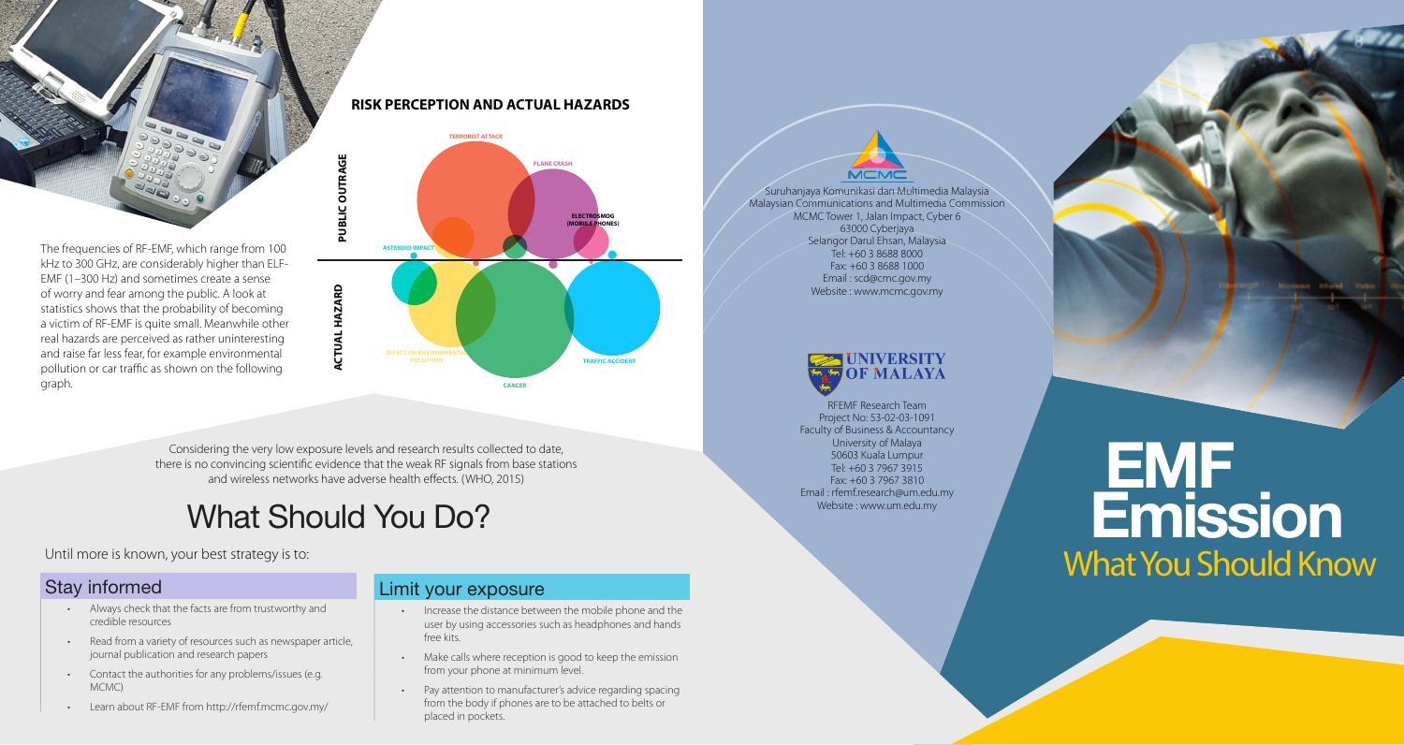

#### **RISK PERCEPTION AND ACTUAL HAZARDS**



Considering the very low exposure levels and research results collected to date, there is no convincing scientific evidence that the weak RF signals from base stations and wireless networks have adverse health effects. (WHO, 2015)

### What Should You Do?

Until more is known, your best strategy is to:

### Stay informed

- Always check that the facts are from trustworthy and credible resources
- Read from a variety of resources such as newspaper article, journal publication and research papers
- Contact the authorities for any problems/issues (e.g. MCMC)
- Learn about RF-EMF from http://rfemf.mcmc.gov.my/

### Limit your exposure

- Increase the distance between the mobile phone and the user by using accessories such as headphones and hands free kits.
- Make calls where reception is good to keep the emission from your phone at minimum level.
- Pay attention to manufacturer's advice regarding spacing from the body if phones are to be attached to belts or placed in pockets.

Suruhanjaya Komunikasi dan Multimedia Malaysia Malaysian Communications and Multimedia Commission MCMC Tower 1, Jalan Impact, Cyber 6 63000 Cyberjaya Selangor Darul Ehsan, Malaysia Tel: +60 3 8688 8000 Fax: +60 3 8688 1000 Email : scd@cmc.gov.my Website : www.mcmc.gov.my



RFEMF Research Team Project No: 53-02-03-1091 Faculty of Business & Accountancy University of Malaya 50603 Kuala Lumpur Tel: +60 3 7967 3915 Fax: +60 3 7967 3810 Email : rfemf.research@um.edu.my Website : www.um.edu.my

# EMF Emission What You Should Know